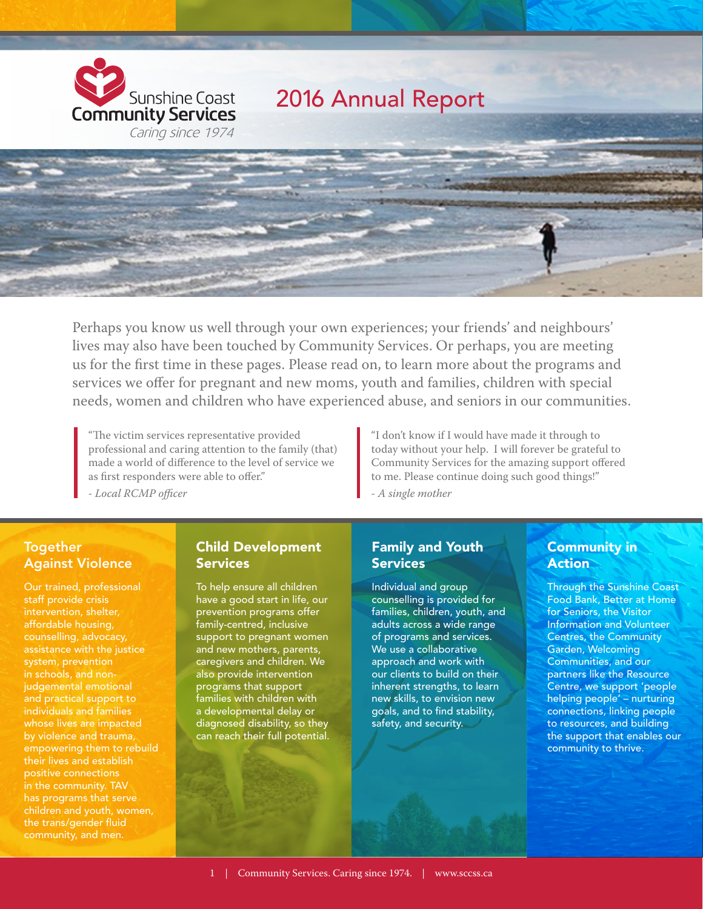

Perhaps you know us well through your own experiences; your friends' and neighbours' lives may also have been touched by Community Services. Or perhaps, you are meeting us for the first time in these pages. Please read on, to learn more about the programs and services we offer for pregnant and new moms, youth and families, children with special needs, women and children who have experienced abuse, and seniors in our communities.

"The victim services representative provided professional and caring attention to the family (that) made a world of difference to the level of service we as first responders were able to offer."

*- Local RCMP officer*

"I don't know if I would have made it through to today without your help. I will forever be grateful to Community Services for the amazing support offered to me. Please continue doing such good things!"

*- A single mother*

#### Together Against Violence

Our trained, professional staff provide crisis assistance with the justice system, prevention in schools, and nonjudgemental emotional and practical support to individuals and families whose lives are impacted by violence and trauma, empowering them to rebuild their lives and establish positive connections has programs that serve children and youth, women, the trans/gender fluid community, and men.

#### Child Development **Services**

To help ensure all children have a good start in life, our prevention programs offer family-centred, inclusive support to pregnant women and new mothers, parents, caregivers and children. We also provide intervention programs that support families with children with a developmental delay or diagnosed disability, so they can reach their full potential.

#### Family and Youth **Services**

Individual and group counselling is provided for families, children, youth, and adults across a wide range of programs and services. We use a collaborative approach and work with our clients to build on their inherent strengths, to learn new skills, to envision new goals, and to find stability, safety, and security.

### Community in **Action**

Through the Sunshine Coast Food Bank, Better at Home for Seniors, the Visitor Information and Volunteer Centres, the Community Garden, Welcoming Communities, and our partners like the Resource Centre, we support 'people helping people' – nurturing connections, linking people to resources, and building the support that enables our community to thrive.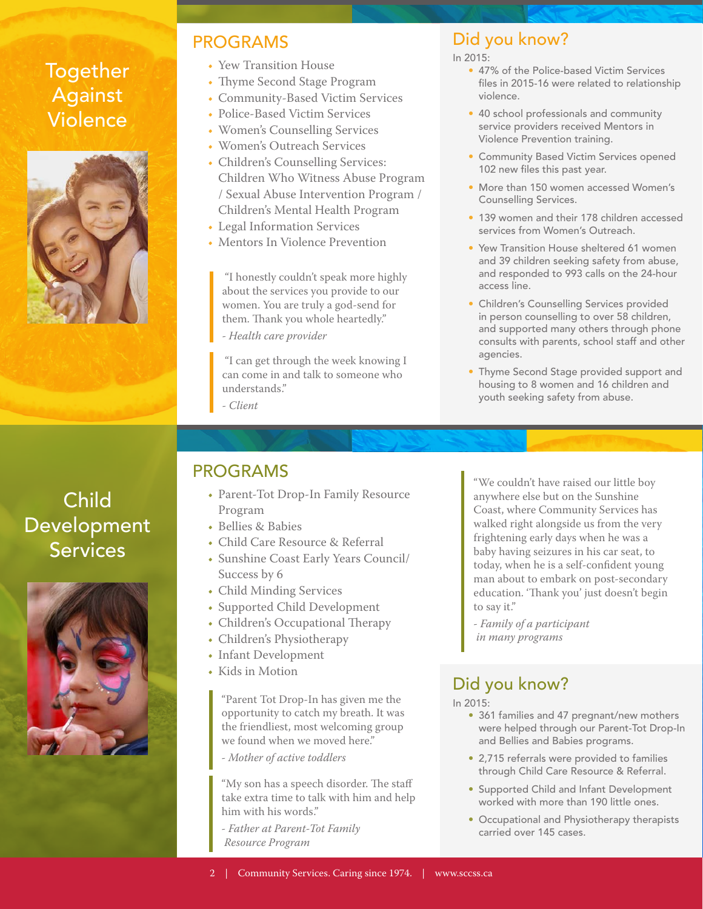# Together Against Violence



### PROGRAMS

- Yew Transition House
- Thyme Second Stage Program
- Community-Based Victim Services
- Police-Based Victim Services
- Women's Counselling Services
- Women's Outreach Services
- Children's Counselling Services: Children Who Witness Abuse Program / Sexual Abuse Intervention Program / Children's Mental Health Program
- Legal Information Services
- Mentors In Violence Prevention

 "I honestly couldn't speak more highly about the services you provide to our women. You are truly a god-send for them. Thank you whole heartedly." *- Health care provider*

 "I can get through the week knowing I can come in and talk to someone who understands."

*- Client*

## Did you know?

In 2015:

- 47% of the Police-based Victim Services files in 2015-16 were related to relationship violence.
- 40 school professionals and community service providers received Mentors in Violence Prevention training.
- Community Based Victim Services opened 102 new files this past year.
- More than 150 women accessed Women's Counselling Services.
- 139 women and their 178 children accessed services from Women's Outreach.
- Yew Transition House sheltered 61 women and 39 children seeking safety from abuse, and responded to 993 calls on the 24-hour access line.
- Children's Counselling Services provided in person counselling to over 58 children, and supported many others through phone consults with parents, school staff and other agencies.
- Thyme Second Stage provided support and housing to 8 women and 16 children and youth seeking safety from abuse.

Child Development Services



# PROGRAMS

- Parent-Tot Drop-In Family Resource Program
- Bellies & Babies
- Child Care Resource & Referral
- Sunshine Coast Early Years Council/ Success by 6
- Child Minding Services
- Supported Child Development
- Children's Occupational Therapy
- Children's Physiotherapy
- Infant Development
- Kids in Motion

"Parent Tot Drop-In has given me the opportunity to catch my breath. It was the friendliest, most welcoming group we found when we moved here."

*- Mother of active toddlers*

"My son has a speech disorder. The staff take extra time to talk with him and help him with his words."

*- Father at Parent-Tot Family Resource Program*

"We couldn't have raised our little boy anywhere else but on the Sunshine Coast, where Community Services has walked right alongside us from the very frightening early days when he was a baby having seizures in his car seat, to today, when he is a self-confident young man about to embark on post-secondary education. 'Thank you' just doesn't begin to say it."

*- Family of a participant in many programs*

# Did you know?

In 2015:

- 361 families and 47 pregnant/new mothers were helped through our Parent-Tot Drop-In and Bellies and Babies programs.
- 2,715 referrals were provided to families through Child Care Resource & Referral.
- Supported Child and Infant Development worked with more than 190 little ones.
- Occupational and Physiotherapy therapists carried over 145 cases.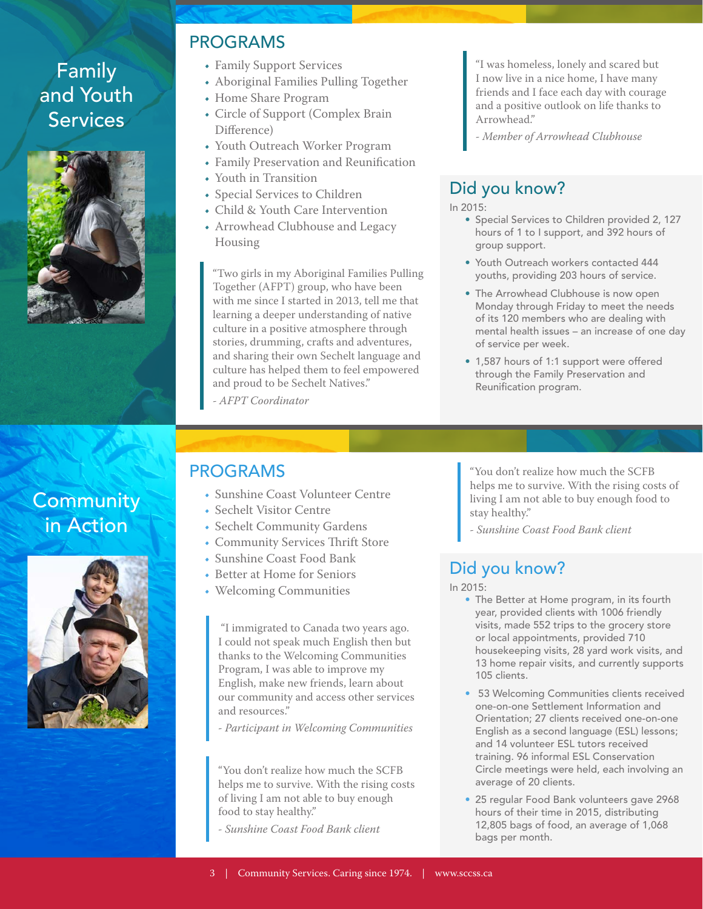# Family and Youth **Services**



## PROGRAMS

- Family Support Services
- Aboriginal Families Pulling Together
- Home Share Program
- Circle of Support (Complex Brain Difference)
- Youth Outreach Worker Program
- Family Preservation and Reunification
- Youth in Transition
- Special Services to Children
- Child & Youth Care Intervention
- Arrowhead Clubhouse and Legacy Housing

"Two girls in my Aboriginal Families Pulling Together (AFPT) group, who have been with me since I started in 2013, tell me that learning a deeper understanding of native culture in a positive atmosphere through stories, drumming, crafts and adventures, and sharing their own Sechelt language and culture has helped them to feel empowered and proud to be Sechelt Natives."

*- AFPT Coordinator*

"I was homeless, lonely and scared but I now live in a nice home, I have many friends and I face each day with courage and a positive outlook on life thanks to Arrowhead."

*- Member of Arrowhead Clubhouse*

## Did you know?

In 2015:

- Special Services to Children provided 2, 127 hours of 1 to I support, and 392 hours of group support.
- Youth Outreach workers contacted 444 youths, providing 203 hours of service.
- The Arrowhead Clubhouse is now open Monday through Friday to meet the needs of its 120 members who are dealing with mental health issues – an increase of one day of service per week.
- 1,587 hours of 1:1 support were offered through the Family Preservation and Reunification program.

# **Community** in Action



# PROGRAMS

- Sunshine Coast Volunteer Centre
- Sechelt Visitor Centre
- Sechelt Community Gardens
- Community Services Thrift Store
- Sunshine Coast Food Bank
- Better at Home for Seniors
- Welcoming Communities

 "I immigrated to Canada two years ago. I could not speak much English then but thanks to the Welcoming Communities Program, I was able to improve my English, make new friends, learn about our community and access other services and resources."

*- Participant in Welcoming Communities*

"You don't realize how much the SCFB helps me to survive. With the rising costs of living I am not able to buy enough food to stay healthy."

*- Sunshine Coast Food Bank client*

"You don't realize how much the SCFB helps me to survive. With the rising costs of living I am not able to buy enough food to stay healthy."

*- Sunshine Coast Food Bank client*

# Did you know?

In 2015:

- The Better at Home program, in its fourth year, provided clients with 1006 friendly visits, made 552 trips to the grocery store or local appointments, provided 710 housekeeping visits, 28 yard work visits, and 13 home repair visits, and currently supports 105 clients.
- 53 Welcoming Communities clients received one-on-one Settlement Information and Orientation; 27 clients received one-on-one English as a second language (ESL) lessons; and 14 volunteer ESL tutors received training. 96 informal ESL Conservation Circle meetings were held, each involving an average of 20 clients.
- 25 regular Food Bank volunteers gave 2968 hours of their time in 2015, distributing 12,805 bags of food, an average of 1,068 bags per month.